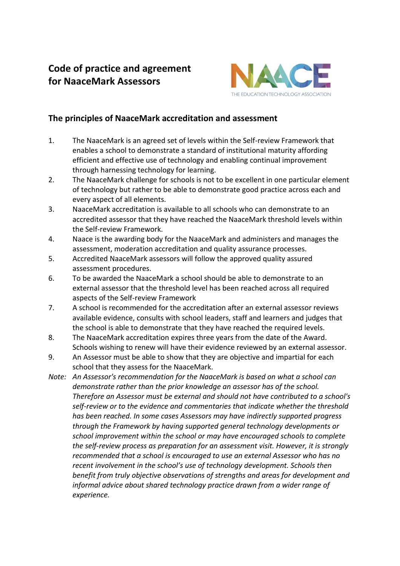## **Code of practice and agreement for NaaceMark Assessors**



## **The principles of NaaceMark accreditation and assessment**

- 1. The NaaceMark is an agreed set of levels within the Self-review Framework that enables a school to demonstrate a standard of institutional maturity affording efficient and effective use of technology and enabling continual improvement through harnessing technology for learning.
- 2. The NaaceMark challenge for schools is not to be excellent in one particular element of technology but rather to be able to demonstrate good practice across each and every aspect of all elements.
- 3. NaaceMark accreditation is available to all schools who can demonstrate to an accredited assessor that they have reached the NaaceMark threshold levels within the Self-review Framework.
- 4. Naace is the awarding body for the NaaceMark and administers and manages the assessment, moderation accreditation and quality assurance processes.
- 5. Accredited NaaceMark assessors will follow the approved quality assured assessment procedures.
- 6. To be awarded the NaaceMark a school should be able to demonstrate to an external assessor that the threshold level has been reached across all required aspects of the Self-review Framework
- 7. A school is recommended for the accreditation after an external assessor reviews available evidence, consults with school leaders, staff and learners and judges that the school is able to demonstrate that they have reached the required levels.
- 8. The NaaceMark accreditation expires three years from the date of the Award. Schools wishing to renew will have their evidence reviewed by an external assessor.
- 9. An Assessor must be able to show that they are objective and impartial for each school that they assess for the NaaceMark.
- *Note: An Assessor's recommendation for the NaaceMark is based on what a school can demonstrate rather than the prior knowledge an assessor has of the school. Therefore an Assessor must be external and should not have contributed to a school's self-review or to the evidence and commentaries that indicate whether the threshold has been reached. In some cases Assessors may have indirectly supported progress through the Framework by having supported general technology developments or school improvement within the school or may have encouraged schools to complete the self-review process as preparation for an assessment visit. However, it is strongly recommended that a school is encouraged to use an external Assessor who has no recent involvement in the school's use of technology development. Schools then benefit from truly objective observations of strengths and areas for development and informal advice about shared technology practice drawn from a wider range of experience.*